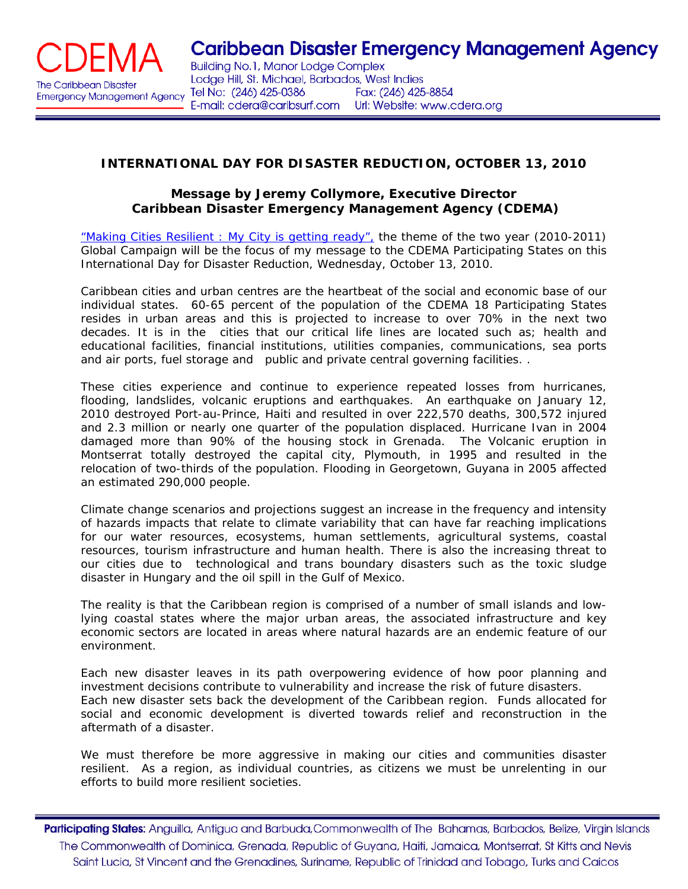

## **INTERNATIONAL DAY FOR DISASTER REDUCTION, OCTOBER 13, 2010**

## *Message by Jeremy Collymore, Executive Director Caribbean Disaster Emergency Management Agency (CDEMA)*

"Making Cities Resilient : My City is getting ready", the theme of the two year (2010-2011) Global Campaign will be the focus of my message to the CDEMA Participating States on this International Day for Disaster Reduction, Wednesday, October 13, 2010.

Caribbean cities and urban centres are the heartbeat of the social and economic base of our individual states. 60-65 percent of the population of the CDEMA 18 Participating States resides in urban areas and this is projected to increase to over 70% in the next two decades. It is in the cities that our critical life lines are located such as; health and educational facilities, financial institutions, utilities companies, communications, sea ports and air ports, fuel storage and public and private central governing facilities. .

These cities experience and continue to experience repeated losses from hurricanes, flooding, landslides, volcanic eruptions and earthquakes. An earthquake on January 12, 2010 destroyed Port-au-Prince, Haiti and resulted in over 222,570 deaths, 300,572 injured and 2.3 million or nearly one quarter of the population displaced. Hurricane Ivan in 2004 damaged more than 90% of the housing stock in Grenada. The Volcanic eruption in Montserrat totally destroyed the capital city, Plymouth, in 1995 and resulted in the relocation of two-thirds of the population. Flooding in Georgetown, Guyana in 2005 affected an estimated 290,000 people.

Climate change scenarios and projections suggest an increase in the frequency and intensity of hazards impacts that relate to climate variability that can have far reaching implications for our water resources, ecosystems, human settlements, agricultural systems, coastal resources, tourism infrastructure and human health. There is also the increasing threat to our cities due to technological and trans boundary disasters such as the toxic sludge disaster in Hungary and the oil spill in the Gulf of Mexico.

The reality is that the Caribbean region is comprised of a number of small islands and lowlying coastal states where the major urban areas, the associated infrastructure and key economic sectors are located in areas where natural hazards are an endemic feature of our environment.

Each new disaster leaves in its path overpowering evidence of how poor planning and investment decisions contribute to vulnerability and increase the risk of future disasters. Each new disaster sets back the development of the Caribbean region. Funds allocated for social and economic development is diverted towards relief and reconstruction in the aftermath of a disaster.

We must therefore be more aggressive in making our cities and communities disaster resilient. As a region, as individual countries, as citizens we must be unrelenting in our efforts to build more resilient societies.

Participating States: Anguilla, Antigua and Barbuda, Commonwealth of The Bahamas, Barbados, Belize, Virgin Islands The Commonwealth of Dominica, Grenada, Republic of Guyana, Haiti, Jamaica, Montserrat, St Kitts and Nevis Saint Lucia, St Vincent and the Grenadines, Suriname, Republic of Trinidad and Tobago, Turks and Caicos